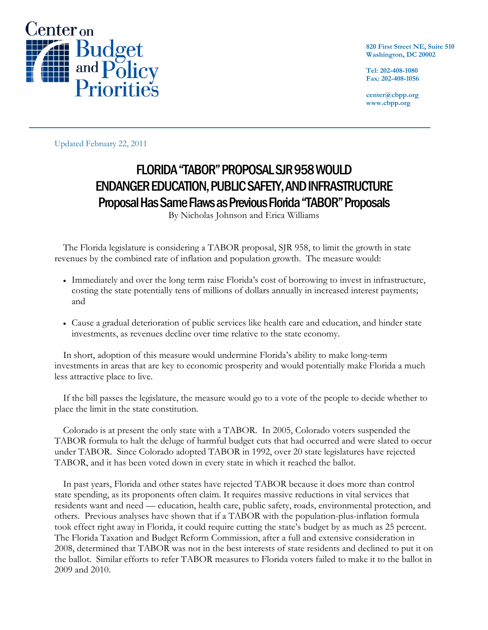

**820 First Street NE, Suite 510 Washington, DC 20002** 

**Tel: 202-408-1080 Fax: 202-408-1056** 

**center@cbpp.org www.cbpp.org** 

Updated February 22, 2011

# FLORIDA "TABOR" PROPOSAL SJR 958 WOULD ENDANGER EDUCATION, PUBLIC SAFETY, AND INFRASTRUCTURE Proposal Has Same Flaws as Previous Florida "TABOR" Proposals

By Nicholas Johnson and Erica Williams

The Florida legislature is considering a TABOR proposal, SJR 958, to limit the growth in state revenues by the combined rate of inflation and population growth. The measure would:

- Immediately and over the long term raise Florida's cost of borrowing to invest in infrastructure, costing the state potentially tens of millions of dollars annually in increased interest payments; and
- Cause a gradual deterioration of public services like health care and education, and hinder state investments, as revenues decline over time relative to the state economy.

In short, adoption of this measure would undermine Florida's ability to make long-term investments in areas that are key to economic prosperity and would potentially make Florida a much less attractive place to live.

If the bill passes the legislature, the measure would go to a vote of the people to decide whether to place the limit in the state constitution.

Colorado is at present the only state with a TABOR. In 2005, Colorado voters suspended the TABOR formula to halt the deluge of harmful budget cuts that had occurred and were slated to occur under TABOR. Since Colorado adopted TABOR in 1992, over 20 state legislatures have rejected TABOR, and it has been voted down in every state in which it reached the ballot.

In past years, Florida and other states have rejected TABOR because it does more than control state spending, as its proponents often claim. It requires massive reductions in vital services that residents want and need — education, health care, public safety, roads, environmental protection, and others. Previous analyses have shown that if a TABOR with the population-plus-inflation formula took effect right away in Florida, it could require cutting the state's budget by as much as 25 percent. The Florida Taxation and Budget Reform Commission, after a full and extensive consideration in 2008, determined that TABOR was not in the best interests of state residents and declined to put it on the ballot. Similar efforts to refer TABOR measures to Florida voters failed to make it to the ballot in 2009 and 2010.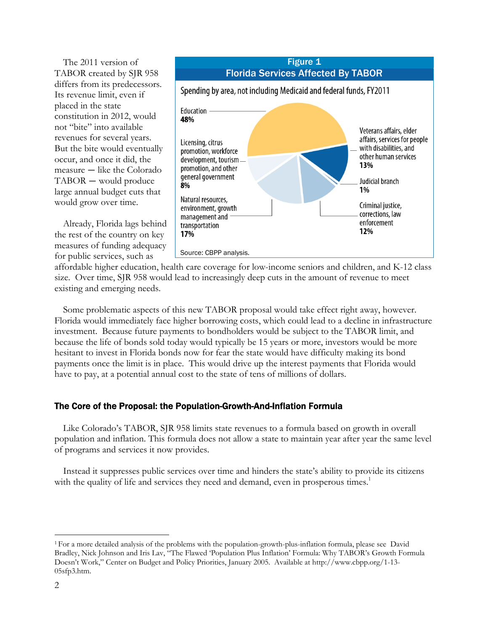The 2011 version of TABOR created by SJR 958 differs from its predecessors. Its revenue limit, even if placed in the state constitution in 2012, would not "bite" into available revenues for several years. But the bite would eventually occur, and once it did, the measure — like the Colorado TABOR — would produce large annual budget cuts that would grow over time.

Already, Florida lags behind the rest of the country on key measures of funding adequacy for public services, such as



affordable higher education, health care coverage for low-income seniors and children, and K-12 class size. Over time, SJR 958 would lead to increasingly deep cuts in the amount of revenue to meet existing and emerging needs.

Some problematic aspects of this new TABOR proposal would take effect right away, however. Florida would immediately face higher borrowing costs, which could lead to a decline in infrastructure investment. Because future payments to bondholders would be subject to the TABOR limit, and because the life of bonds sold today would typically be 15 years or more, investors would be more hesitant to invest in Florida bonds now for fear the state would have difficulty making its bond payments once the limit is in place. This would drive up the interest payments that Florida would have to pay, at a potential annual cost to the state of tens of millions of dollars.

# The Core of the Proposal: the Population-Growth-And-Inflation Formula

Like Colorado's TABOR, SJR 958 limits state revenues to a formula based on growth in overall population and inflation. This formula does not allow a state to maintain year after year the same level of programs and services it now provides.

Instead it suppresses public services over time and hinders the state's ability to provide its citizens with the quality of life and services they need and demand, even in prosperous times.<sup>1</sup>

<sup>1</sup> For a more detailed analysis of the problems with the population-growth-plus-inflation formula, please see David Bradley, Nick Johnson and Iris Lav, "The Flawed 'Population Plus Inflation' Formula: Why TABOR's Growth Formula Doesn't Work," Center on Budget and Policy Priorities, January 2005. Available at http://www.cbpp.org/1-13- 05sfp3.htm.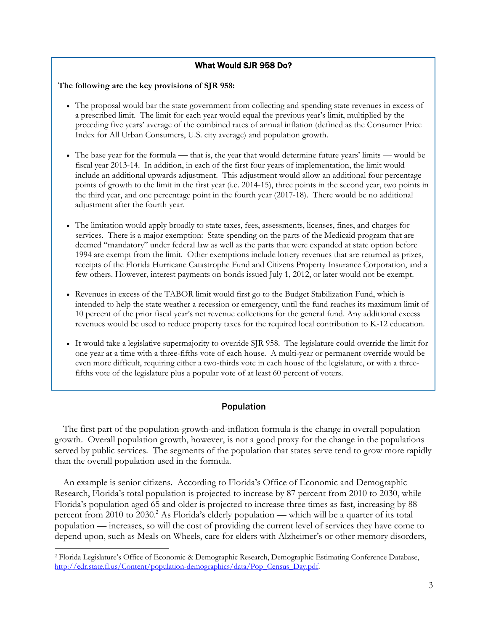## What Would SJR 958 Do?

#### **The following are the key provisions of SJR 958:**

 $\overline{a}$ 

- The proposal would bar the state government from collecting and spending state revenues in excess of a prescribed limit. The limit for each year would equal the previous year's limit, multiplied by the preceding five years' average of the combined rates of annual inflation (defined as the Consumer Price Index for All Urban Consumers, U.S. city average) and population growth.
- The base year for the formula that is, the year that would determine future years' limits would be fiscal year 2013-14. In addition, in each of the first four years of implementation, the limit would include an additional upwards adjustment. This adjustment would allow an additional four percentage points of growth to the limit in the first year (i.e. 2014-15), three points in the second year, two points in the third year, and one percentage point in the fourth year (2017-18). There would be no additional adjustment after the fourth year.
- The limitation would apply broadly to state taxes, fees, assessments, licenses, fines, and charges for services. There is a major exemption: State spending on the parts of the Medicaid program that are deemed "mandatory" under federal law as well as the parts that were expanded at state option before 1994 are exempt from the limit. Other exemptions include lottery revenues that are returned as prizes, receipts of the Florida Hurricane Catastrophe Fund and Citizens Property Insurance Corporation, and a few others. However, interest payments on bonds issued July 1, 2012, or later would not be exempt.
- Revenues in excess of the TABOR limit would first go to the Budget Stabilization Fund, which is intended to help the state weather a recession or emergency, until the fund reaches its maximum limit of 10 percent of the prior fiscal year's net revenue collections for the general fund. Any additional excess revenues would be used to reduce property taxes for the required local contribution to K-12 education.
- It would take a legislative supermajority to override SJR 958. The legislature could override the limit for one year at a time with a three-fifths vote of each house. A multi-year or permanent override would be even more difficult, requiring either a two-thirds vote in each house of the legislature, or with a threefifths vote of the legislature plus a popular vote of at least 60 percent of voters.

# Population

The first part of the population-growth-and-inflation formula is the change in overall population growth. Overall population growth, however, is not a good proxy for the change in the populations served by public services. The segments of the population that states serve tend to grow more rapidly than the overall population used in the formula.

An example is senior citizens. According to Florida's Office of Economic and Demographic Research, Florida's total population is projected to increase by 87 percent from 2010 to 2030, while Florida's population aged 65 and older is projected to increase three times as fast, increasing by 88 percent from 2010 to 2030.<sup>2</sup> As Florida's elderly population — which will be a quarter of its total population — increases, so will the cost of providing the current level of services they have come to depend upon, such as Meals on Wheels, care for elders with Alzheimer's or other memory disorders,

<sup>2</sup> Florida Legislature's Office of Economic & Demographic Research, Demographic Estimating Conference Database, http://edr.state.fl.us/Content/population-demographics/data/Pop\_Census\_Day.pdf.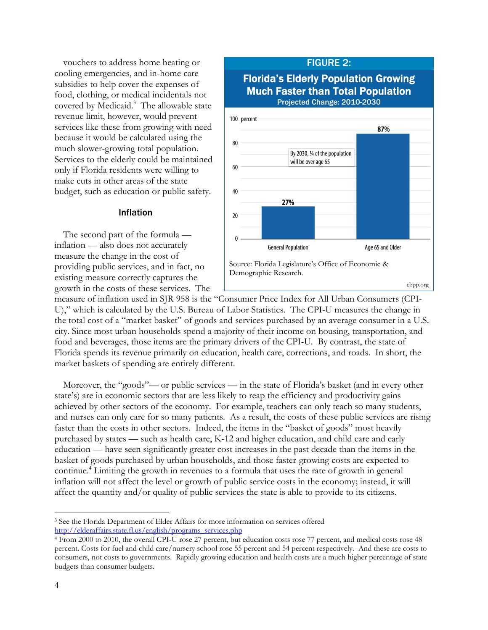vouchers to address home heating or cooling emergencies, and in-home care subsidies to help cover the expenses of food, clothing, or medical incidentals not covered by Medicaid.<sup>3</sup> The allowable state revenue limit, however, would prevent services like these from growing with need because it would be calculated using the much slower-growing total population. Services to the elderly could be maintained only if Florida residents were willing to make cuts in other areas of the state budget, such as education or public safety.

#### Inflation

The second part of the formula inflation — also does not accurately measure the change in the cost of providing public services, and in fact, no existing measure correctly captures the growth in the costs of these services. The



measure of inflation used in SJR 958 is the "Consumer Price Index for All Urban Consumers (CPI-U)," which is calculated by the U.S. Bureau of Labor Statistics. The CPI-U measures the change in the total cost of a "market basket" of goods and services purchased by an average consumer in a U.S. city. Since most urban households spend a majority of their income on housing, transportation, and food and beverages, those items are the primary drivers of the CPI-U. By contrast, the state of Florida spends its revenue primarily on education, health care, corrections, and roads. In short, the market baskets of spending are entirely different.

Moreover, the "goods"— or public services — in the state of Florida's basket (and in every other state's) are in economic sectors that are less likely to reap the efficiency and productivity gains achieved by other sectors of the economy. For example, teachers can only teach so many students, and nurses can only care for so many patients. As a result, the costs of these public services are rising faster than the costs in other sectors. Indeed, the items in the "basket of goods" most heavily purchased by states — such as health care, K-12 and higher education, and child care and early education — have seen significantly greater cost increases in the past decade than the items in the basket of goods purchased by urban households, and those faster-growing costs are expected to continue.<sup>4</sup> Limiting the growth in revenues to a formula that uses the rate of growth in general inflation will not affect the level or growth of public service costs in the economy; instead, it will affect the quantity and/or quality of public services the state is able to provide to its citizens.

<sup>3</sup> See the Florida Department of Elder Affairs for more information on services offered http://elderaffairs.state.fl.us/english/programs\_services.php

<sup>4</sup> From 2000 to 2010, the overall CPI-U rose 27 percent, but education costs rose 77 percent, and medical costs rose 48 percent. Costs for fuel and child care/nursery school rose 55 percent and 54 percent respectively. And these are costs to consumers, not costs to governments. Rapidly growing education and health costs are a much higher percentage of state budgets than consumer budgets.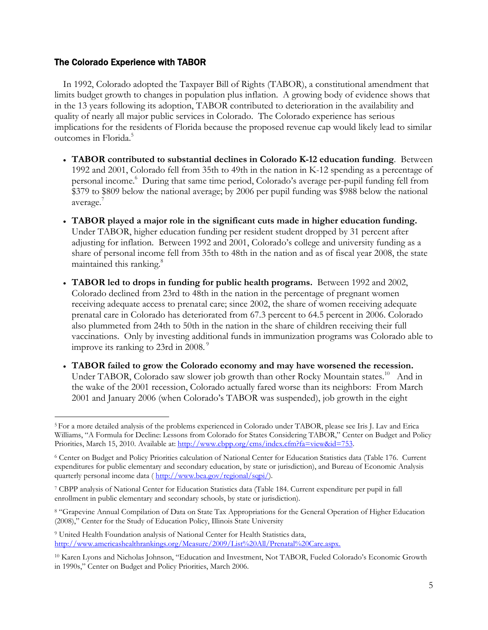# The Colorado Experience with TABOR

 $\overline{a}$ 

In 1992, Colorado adopted the Taxpayer Bill of Rights (TABOR), a constitutional amendment that limits budget growth to changes in population plus inflation. A growing body of evidence shows that in the 13 years following its adoption, TABOR contributed to deterioration in the availability and quality of nearly all major public services in Colorado. The Colorado experience has serious implications for the residents of Florida because the proposed revenue cap would likely lead to similar outcomes in Florida.5

- **TABOR contributed to substantial declines in Colorado K-12 education funding**. Between 1992 and 2001, Colorado fell from 35th to 49th in the nation in K-12 spending as a percentage of personal income.<sup>6</sup> During that same time period, Colorado's average per-pupil funding fell from \$379 to \$809 below the national average; by 2006 per pupil funding was \$988 below the national average.<sup>7</sup>
- **TABOR played a major role in the significant cuts made in higher education funding.**  Under TABOR, higher education funding per resident student dropped by 31 percent after adjusting for inflation. Between 1992 and 2001, Colorado's college and university funding as a share of personal income fell from 35th to 48th in the nation and as of fiscal year 2008, the state maintained this ranking.<sup>8</sup>
- **TABOR led to drops in funding for public health programs.** Between 1992 and 2002, Colorado declined from 23rd to 48th in the nation in the percentage of pregnant women receiving adequate access to prenatal care; since 2002, the share of women receiving adequate prenatal care in Colorado has deteriorated from 67.3 percent to 64.5 percent in 2006. Colorado also plummeted from 24th to 50th in the nation in the share of children receiving their full vaccinations. Only by investing additional funds in immunization programs was Colorado able to improve its ranking to 23rd in 2008.<sup>9</sup>
- **TABOR failed to grow the Colorado economy and may have worsened the recession.** Under TABOR, Colorado saw slower job growth than other Rocky Mountain states.<sup>10</sup> And in the wake of the 2001 recession, Colorado actually fared worse than its neighbors: From March 2001 and January 2006 (when Colorado's TABOR was suspended), job growth in the eight

<sup>5</sup> For a more detailed analysis of the problems experienced in Colorado under TABOR, please see Iris J. Lav and Erica Williams, "A Formula for Decline: Lessons from Colorado for States Considering TABOR," Center on Budget and Policy Priorities, March 15, 2010. Available at: http://www.cbpp.org/cms/index.cfm?fa=view&id=753.

<sup>6</sup> Center on Budget and Policy Priorities calculation of National Center for Education Statistics data (Table 176. Current expenditures for public elementary and secondary education, by state or jurisdiction), and Bureau of Economic Analysis quarterly personal income data ( http://www.bea.gov/regional/sqpi/).

<sup>7</sup> CBPP analysis of National Center for Education Statistics data (Table 184. Current expenditure per pupil in fall enrollment in public elementary and secondary schools, by state or jurisdiction).

<sup>8 &</sup>quot;Grapevine Annual Compilation of Data on State Tax Appropriations for the General Operation of Higher Education (2008)," Center for the Study of Education Policy, Illinois State University

<sup>9</sup> United Health Foundation analysis of National Center for Health Statistics data, http://www.americashealthrankings.org/Measure/2009/List%20All/Prenatal%20Care.aspx.

<sup>10</sup> Karen Lyons and Nicholas Johnson, "Education and Investment, Not TABOR, Fueled Colorado's Economic Growth in 1990s," Center on Budget and Policy Priorities, March 2006.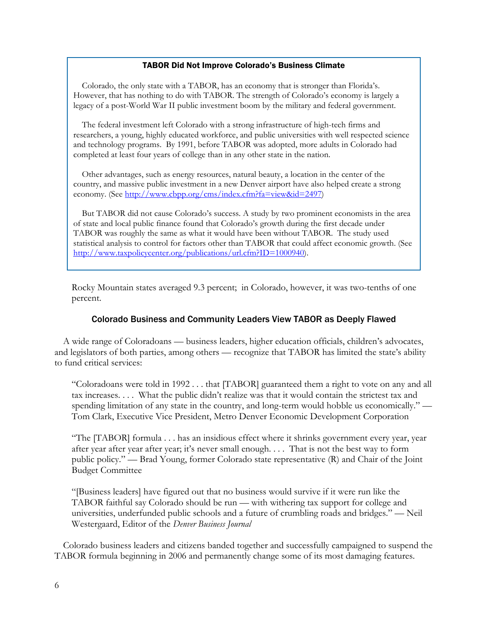#### TABOR Did Not Improve Colorado's Business Climate

Colorado, the only state with a TABOR, has an economy that is stronger than Florida's. However, that has nothing to do with TABOR. The strength of Colorado's economy is largely a legacy of a post-World War II public investment boom by the military and federal government.

The federal investment left Colorado with a strong infrastructure of high-tech firms and researchers, a young, highly educated workforce, and public universities with well respected science and technology programs. By 1991, before TABOR was adopted, more adults in Colorado had completed at least four years of college than in any other state in the nation.

Other advantages, such as energy resources, natural beauty, a location in the center of the country, and massive public investment in a new Denver airport have also helped create a strong economy. (See http://www.cbpp.org/cms/index.cfm?fa=view&id=2497)

But TABOR did not cause Colorado's success. A study by two prominent economists in the area of state and local public finance found that Colorado's growth during the first decade under TABOR was roughly the same as what it would have been without TABOR. The study used statistical analysis to control for factors other than TABOR that could affect economic growth. (See http://www.taxpolicycenter.org/publications/url.cfm?ID=1000940).

Rocky Mountain states averaged 9.3 percent; in Colorado, however, it was two-tenths of one percent.

## Colorado Business and Community Leaders View TABOR as Deeply Flawed

A wide range of Coloradoans — business leaders, higher education officials, children's advocates, and legislators of both parties, among others — recognize that TABOR has limited the state's ability to fund critical services:

"Coloradoans were told in 1992 . . . that [TABOR] guaranteed them a right to vote on any and all tax increases. . . . What the public didn't realize was that it would contain the strictest tax and spending limitation of any state in the country, and long-term would hobble us economically." — Tom Clark, Executive Vice President, Metro Denver Economic Development Corporation

"The [TABOR] formula . . . has an insidious effect where it shrinks government every year, year after year after year after year; it's never small enough. . . . That is not the best way to form public policy." — Brad Young, former Colorado state representative (R) and Chair of the Joint Budget Committee

"[Business leaders] have figured out that no business would survive if it were run like the TABOR faithful say Colorado should be run — with withering tax support for college and universities, underfunded public schools and a future of crumbling roads and bridges." — Neil Westergaard, Editor of the *Denver Business Journal*

Colorado business leaders and citizens banded together and successfully campaigned to suspend the TABOR formula beginning in 2006 and permanently change some of its most damaging features.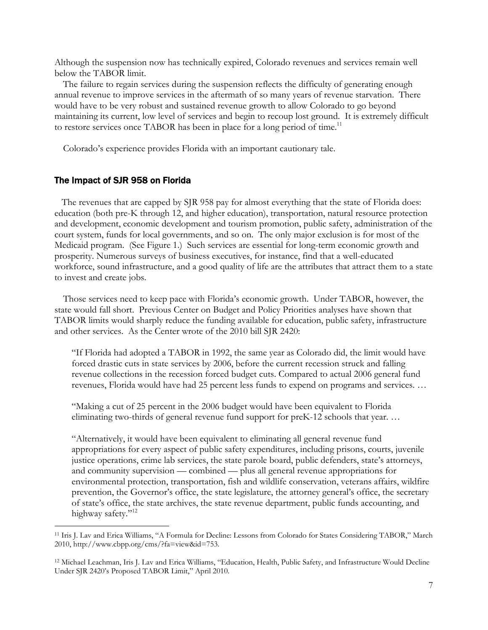Although the suspension now has technically expired, Colorado revenues and services remain well below the TABOR limit.

The failure to regain services during the suspension reflects the difficulty of generating enough annual revenue to improve services in the aftermath of so many years of revenue starvation. There would have to be very robust and sustained revenue growth to allow Colorado to go beyond maintaining its current, low level of services and begin to recoup lost ground. It is extremely difficult to restore services once TABOR has been in place for a long period of time.<sup>11</sup>

Colorado's experience provides Florida with an important cautionary tale.

#### The Impact of SJR 958 on Florida

 $\overline{a}$ 

The revenues that are capped by SJR 958 pay for almost everything that the state of Florida does: education (both pre-K through 12, and higher education), transportation, natural resource protection and development, economic development and tourism promotion, public safety, administration of the court system, funds for local governments, and so on. The only major exclusion is for most of the Medicaid program. (See Figure 1.) Such services are essential for long-term economic growth and prosperity. Numerous surveys of business executives, for instance, find that a well-educated workforce, sound infrastructure, and a good quality of life are the attributes that attract them to a state to invest and create jobs.

Those services need to keep pace with Florida's economic growth. Under TABOR, however, the state would fall short. Previous Center on Budget and Policy Priorities analyses have shown that TABOR limits would sharply reduce the funding available for education, public safety, infrastructure and other services. As the Center wrote of the 2010 bill SJR 2420:

"If Florida had adopted a TABOR in 1992, the same year as Colorado did, the limit would have forced drastic cuts in state services by 2006, before the current recession struck and falling revenue collections in the recession forced budget cuts. Compared to actual 2006 general fund revenues, Florida would have had 25 percent less funds to expend on programs and services. …

"Making a cut of 25 percent in the 2006 budget would have been equivalent to Florida eliminating two-thirds of general revenue fund support for preK-12 schools that year. …

"Alternatively, it would have been equivalent to eliminating all general revenue fund appropriations for every aspect of public safety expenditures, including prisons, courts, juvenile justice operations, crime lab services, the state parole board, public defenders, state's attorneys, and community supervision — combined — plus all general revenue appropriations for environmental protection, transportation, fish and wildlife conservation, veterans affairs, wildfire prevention, the Governor's office, the state legislature, the attorney general's office, the secretary of state's office, the state archives, the state revenue department, public funds accounting, and highway safety."<sup>12</sup>

<sup>11</sup> Iris J. Lav and Erica Williams, "A Formula for Decline: Lessons from Colorado for States Considering TABOR," March 2010, http://www.cbpp.org/cms/?fa=view&id=753.

<sup>12</sup> Michael Leachman, Iris J. Lav and Erica Williams, "Education, Health, Public Safety, and Infrastructure Would Decline Under SJR 2420's Proposed TABOR Limit," April 2010.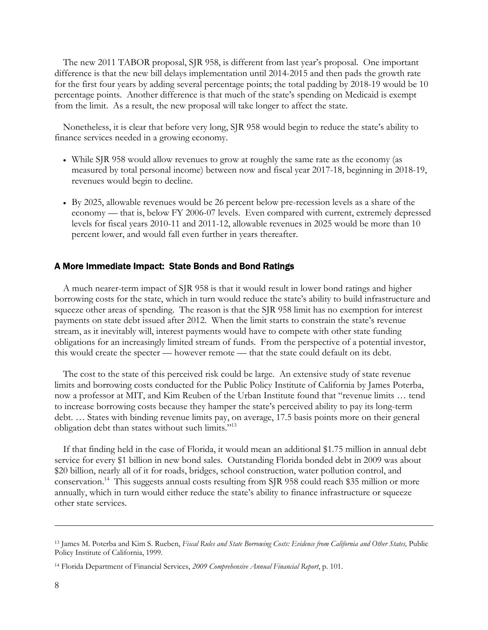The new 2011 TABOR proposal, SJR 958, is different from last year's proposal. One important difference is that the new bill delays implementation until 2014-2015 and then pads the growth rate for the first four years by adding several percentage points; the total padding by 2018-19 would be 10 percentage points. Another difference is that much of the state's spending on Medicaid is exempt from the limit. As a result, the new proposal will take longer to affect the state.

Nonetheless, it is clear that before very long, SJR 958 would begin to reduce the state's ability to finance services needed in a growing economy.

- While SJR 958 would allow revenues to grow at roughly the same rate as the economy (as measured by total personal income) between now and fiscal year 2017-18, beginning in 2018-19, revenues would begin to decline.
- By 2025, allowable revenues would be 26 percent below pre-recession levels as a share of the economy — that is, below FY 2006-07 levels. Even compared with current, extremely depressed levels for fiscal years 2010-11 and 2011-12, allowable revenues in 2025 would be more than 10 percent lower, and would fall even further in years thereafter.

# A More Immediate Impact: State Bonds and Bond Ratings

A much nearer-term impact of SJR 958 is that it would result in lower bond ratings and higher borrowing costs for the state, which in turn would reduce the state's ability to build infrastructure and squeeze other areas of spending. The reason is that the SJR 958 limit has no exemption for interest payments on state debt issued after 2012. When the limit starts to constrain the state's revenue stream, as it inevitably will, interest payments would have to compete with other state funding obligations for an increasingly limited stream of funds. From the perspective of a potential investor, this would create the specter — however remote — that the state could default on its debt.

The cost to the state of this perceived risk could be large. An extensive study of state revenue limits and borrowing costs conducted for the Public Policy Institute of California by James Poterba, now a professor at MIT, and Kim Reuben of the Urban Institute found that "revenue limits … tend to increase borrowing costs because they hamper the state's perceived ability to pay its long-term debt. … States with binding revenue limits pay, on average, 17.5 basis points more on their general obligation debt than states without such limits."13

If that finding held in the case of Florida, it would mean an additional \$1.75 million in annual debt service for every \$1 billion in new bond sales. Outstanding Florida bonded debt in 2009 was about \$20 billion, nearly all of it for roads, bridges, school construction, water pollution control, and conservation.<sup>14</sup> This suggests annual costs resulting from SJR 958 could reach \$35 million or more annually, which in turn would either reduce the state's ability to finance infrastructure or squeeze other state services.

<sup>13</sup> James M. Poterba and Kim S. Rueben, *Fiscal Rules and State Borrowing Costs: Evidence from California and Other States,* Public Policy Institute of California, 1999.

<sup>14</sup> Florida Department of Financial Services, *2009 Comprehensive Annual Financial Report*, p. 101.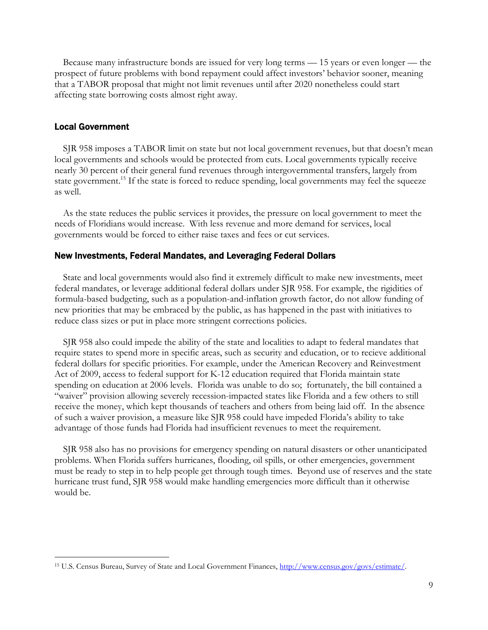Because many infrastructure bonds are issued for very long terms — 15 years or even longer — the prospect of future problems with bond repayment could affect investors' behavior sooner, meaning that a TABOR proposal that might not limit revenues until after 2020 nonetheless could start affecting state borrowing costs almost right away.

## Local Government

 $\overline{a}$ 

SJR 958 imposes a TABOR limit on state but not local government revenues, but that doesn't mean local governments and schools would be protected from cuts. Local governments typically receive nearly 30 percent of their general fund revenues through intergovernmental transfers, largely from state government.<sup>15</sup> If the state is forced to reduce spending, local governments may feel the squeeze as well.

As the state reduces the public services it provides, the pressure on local government to meet the needs of Floridians would increase. With less revenue and more demand for services, local governments would be forced to either raise taxes and fees or cut services.

#### New Investments, Federal Mandates, and Leveraging Federal Dollars

State and local governments would also find it extremely difficult to make new investments, meet federal mandates, or leverage additional federal dollars under SJR 958. For example, the rigidities of formula-based budgeting, such as a population-and-inflation growth factor, do not allow funding of new priorities that may be embraced by the public, as has happened in the past with initiatives to reduce class sizes or put in place more stringent corrections policies.

SJR 958 also could impede the ability of the state and localities to adapt to federal mandates that require states to spend more in specific areas, such as security and education, or to recieve additional federal dollars for specific priorities. For example, under the American Recovery and Reinvestment Act of 2009, access to federal support for K-12 education required that Florida maintain state spending on education at 2006 levels. Florida was unable to do so; fortunately, the bill contained a "waiver" provision allowing severely recession-impacted states like Florida and a few others to still receive the money, which kept thousands of teachers and others from being laid off. In the absence of such a waiver provision, a measure like SJR 958 could have impeded Florida's ability to take advantage of those funds had Florida had insufficient revenues to meet the requirement.

SJR 958 also has no provisions for emergency spending on natural disasters or other unanticipated problems. When Florida suffers hurricanes, flooding, oil spills, or other emergencies, government must be ready to step in to help people get through tough times. Beyond use of reserves and the state hurricane trust fund, SJR 958 would make handling emergencies more difficult than it otherwise would be.

<sup>15</sup> U.S. Census Bureau, Survey of State and Local Government Finances, http://www.census.gov/govs/estimate/.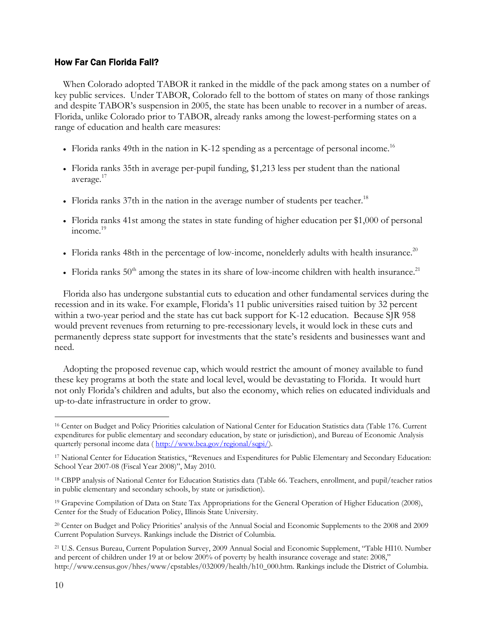## How Far Can Florida Fall?

When Colorado adopted TABOR it ranked in the middle of the pack among states on a number of key public services. Under TABOR, Colorado fell to the bottom of states on many of those rankings and despite TABOR's suspension in 2005, the state has been unable to recover in a number of areas. Florida, unlike Colorado prior to TABOR, already ranks among the lowest-performing states on a range of education and health care measures:

- Florida ranks 49th in the nation in K-12 spending as a percentage of personal income.<sup>16</sup>
- Florida ranks 35th in average per-pupil funding, \$1,213 less per student than the national average.<sup>17</sup>
- Florida ranks  $37$ th in the nation in the average number of students per teacher.<sup>18</sup>
- Florida ranks 41st among the states in state funding of higher education per \$1,000 of personal  $income.<sup>19</sup>$
- Florida ranks 48th in the percentage of low-income, nonelderly adults with health insurance.<sup>20</sup>
- Florida ranks  $50<sup>th</sup>$  among the states in its share of low-income children with health insurance.<sup>21</sup>

Florida also has undergone substantial cuts to education and other fundamental services during the recession and in its wake. For example, Florida's 11 public universities raised tuition by 32 percent within a two-year period and the state has cut back support for K-12 education. Because SJR 958 would prevent revenues from returning to pre-recessionary levels, it would lock in these cuts and permanently depress state support for investments that the state's residents and businesses want and need.

Adopting the proposed revenue cap, which would restrict the amount of money available to fund these key programs at both the state and local level, would be devastating to Florida. It would hurt not only Florida's children and adults, but also the economy, which relies on educated individuals and up-to-date infrastructure in order to grow.

<sup>16</sup> Center on Budget and Policy Priorities calculation of National Center for Education Statistics data (Table 176. Current expenditures for public elementary and secondary education, by state or jurisdiction), and Bureau of Economic Analysis quarterly personal income data ( http://www.bea.gov/regional/sqpi/).

<sup>17</sup> National Center for Education Statistics, "Revenues and Expenditures for Public Elementary and Secondary Education: School Year 2007-08 (Fiscal Year 2008)", May 2010.

<sup>18</sup> CBPP analysis of National Center for Education Statistics data (Table 66. Teachers, enrollment, and pupil/teacher ratios in public elementary and secondary schools, by state or jurisdiction).

<sup>&</sup>lt;sup>19</sup> Grapevine Compilation of Data on State Tax Appropriations for the General Operation of Higher Education (2008), Center for the Study of Education Policy, Illinois State University.

<sup>20</sup> Center on Budget and Policy Priorities' analysis of the Annual Social and Economic Supplements to the 2008 and 2009 Current Population Surveys. Rankings include the District of Columbia.

<sup>21</sup> U.S. Census Bureau, Current Population Survey, 2009 Annual Social and Economic Supplement, "Table HI10. Number and percent of children under 19 at or below 200% of poverty by health insurance coverage and state: 2008," http://www.census.gov/hhes/www/cpstables/032009/health/h10\_000.htm. Rankings include the District of Columbia.